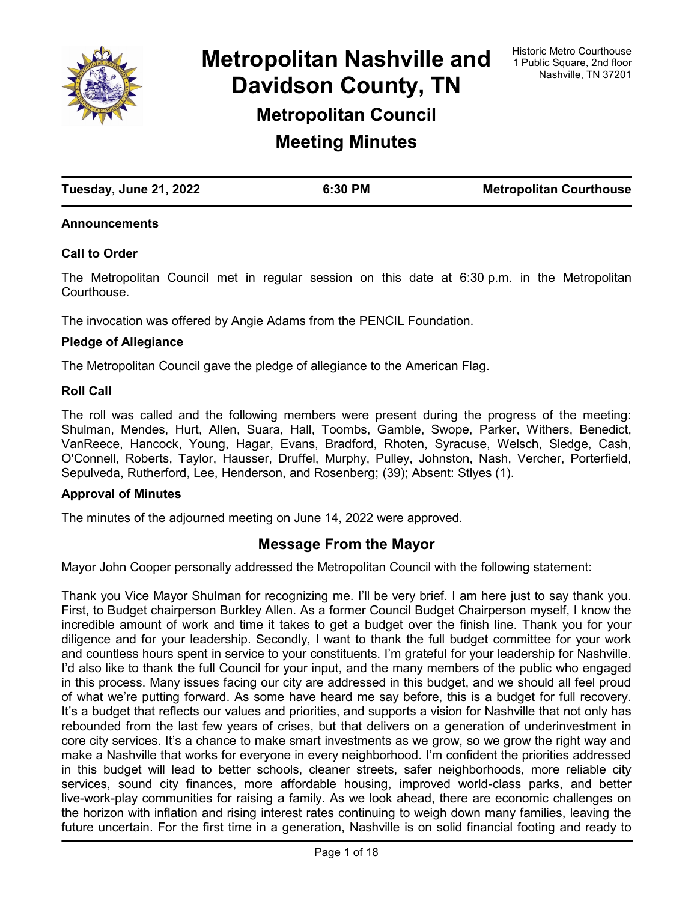

**Metropolitan Nashville and Davidson County, TN Metropolitan Council**

**Meeting Minutes**

| Tuesday, June 21, 2022 | 6:30 PM | <b>Metropolitan Courthouse</b> |
|------------------------|---------|--------------------------------|

### **Announcements**

### **Call to Order**

The Metropolitan Council met in regular session on this date at 6:30 p.m. in the Metropolitan **Courthouse** 

The invocation was offered by Angie Adams from the PENCIL Foundation.

#### **Pledge of Allegiance**

The Metropolitan Council gave the pledge of allegiance to the American Flag.

#### **Roll Call**

The roll was called and the following members were present during the progress of the meeting: Shulman, Mendes, Hurt, Allen, Suara, Hall, Toombs, Gamble, Swope, Parker, Withers, Benedict, VanReece, Hancock, Young, Hagar, Evans, Bradford, Rhoten, Syracuse, Welsch, Sledge, Cash, O'Connell, Roberts, Taylor, Hausser, Druffel, Murphy, Pulley, Johnston, Nash, Vercher, Porterfield, Sepulveda, Rutherford, Lee, Henderson, and Rosenberg; (39); Absent: Stlyes (1).

### **Approval of Minutes**

The minutes of the adjourned meeting on June 14, 2022 were approved.

### **Message From the Mayor**

Mayor John Cooper personally addressed the Metropolitan Council with the following statement:

Thank you Vice Mayor Shulman for recognizing me. I'll be very brief. I am here just to say thank you. First, to Budget chairperson Burkley Allen. As a former Council Budget Chairperson myself, I know the incredible amount of work and time it takes to get a budget over the finish line. Thank you for your diligence and for your leadership. Secondly, I want to thank the full budget committee for your work and countless hours spent in service to your constituents. I'm grateful for your leadership for Nashville. I'd also like to thank the full Council for your input, and the many members of the public who engaged in this process. Many issues facing our city are addressed in this budget, and we should all feel proud of what we're putting forward. As some have heard me say before, this is a budget for full recovery. It's a budget that reflects our values and priorities, and supports a vision for Nashville that not only has rebounded from the last few years of crises, but that delivers on a generation of underinvestment in core city services. It's a chance to make smart investments as we grow, so we grow the right way and make a Nashville that works for everyone in every neighborhood. I'm confident the priorities addressed in this budget will lead to better schools, cleaner streets, safer neighborhoods, more reliable city services, sound city finances, more affordable housing, improved world-class parks, and better live-work-play communities for raising a family. As we look ahead, there are economic challenges on the horizon with inflation and rising interest rates continuing to weigh down many families, leaving the future uncertain. For the first time in a generation, Nashville is on solid financial footing and ready to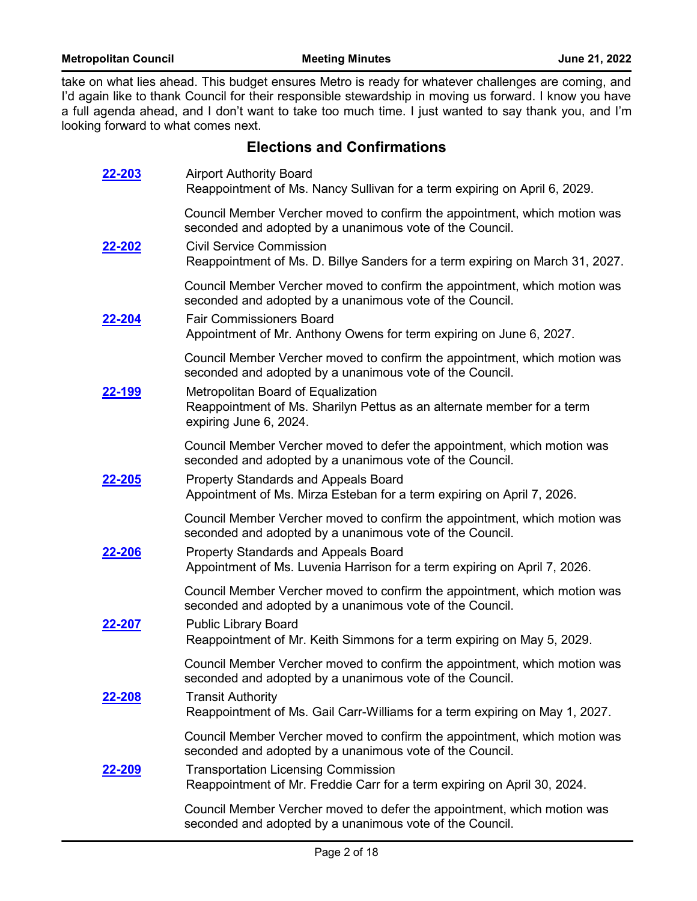take on what lies ahead. This budget ensures Metro is ready for whatever challenges are coming, and I'd again like to thank Council for their responsible stewardship in moving us forward. I know you have a full agenda ahead, and I don't want to take too much time. I just wanted to say thank you, and I'm looking forward to what comes next.

# **Elections and Confirmations**

| 22-203        | <b>Airport Authority Board</b><br>Reappointment of Ms. Nancy Sullivan for a term expiring on April 6, 2029.                            |
|---------------|----------------------------------------------------------------------------------------------------------------------------------------|
|               | Council Member Vercher moved to confirm the appointment, which motion was<br>seconded and adopted by a unanimous vote of the Council.  |
| <u>22-202</u> | <b>Civil Service Commission</b><br>Reappointment of Ms. D. Billye Sanders for a term expiring on March 31, 2027.                       |
|               | Council Member Vercher moved to confirm the appointment, which motion was<br>seconded and adopted by a unanimous vote of the Council.  |
| <u>22-204</u> | <b>Fair Commissioners Board</b><br>Appointment of Mr. Anthony Owens for term expiring on June 6, 2027.                                 |
|               | Council Member Vercher moved to confirm the appointment, which motion was<br>seconded and adopted by a unanimous vote of the Council.  |
| <u>22-199</u> | Metropolitan Board of Equalization<br>Reappointment of Ms. Sharilyn Pettus as an alternate member for a term<br>expiring June 6, 2024. |
|               | Council Member Vercher moved to defer the appointment, which motion was<br>seconded and adopted by a unanimous vote of the Council.    |
| 22-205        | <b>Property Standards and Appeals Board</b><br>Appointment of Ms. Mirza Esteban for a term expiring on April 7, 2026.                  |
|               | Council Member Vercher moved to confirm the appointment, which motion was<br>seconded and adopted by a unanimous vote of the Council.  |
| <u>22-206</u> | <b>Property Standards and Appeals Board</b><br>Appointment of Ms. Luvenia Harrison for a term expiring on April 7, 2026.               |
|               | Council Member Vercher moved to confirm the appointment, which motion was<br>seconded and adopted by a unanimous vote of the Council.  |
| 22-207        | <b>Public Library Board</b><br>Reappointment of Mr. Keith Simmons for a term expiring on May 5, 2029.                                  |
|               | Council Member Vercher moved to confirm the appointment, which motion was<br>seconded and adopted by a unanimous vote of the Council.  |
| <u>22-208</u> | <b>Transit Authority</b><br>Reappointment of Ms. Gail Carr-Williams for a term expiring on May 1, 2027.                                |
|               | Council Member Vercher moved to confirm the appointment, which motion was<br>seconded and adopted by a unanimous vote of the Council.  |
| 22-209        | <b>Transportation Licensing Commission</b><br>Reappointment of Mr. Freddie Carr for a term expiring on April 30, 2024.                 |
|               | Council Member Vercher moved to defer the appointment, which motion was<br>seconded and adopted by a unanimous vote of the Council.    |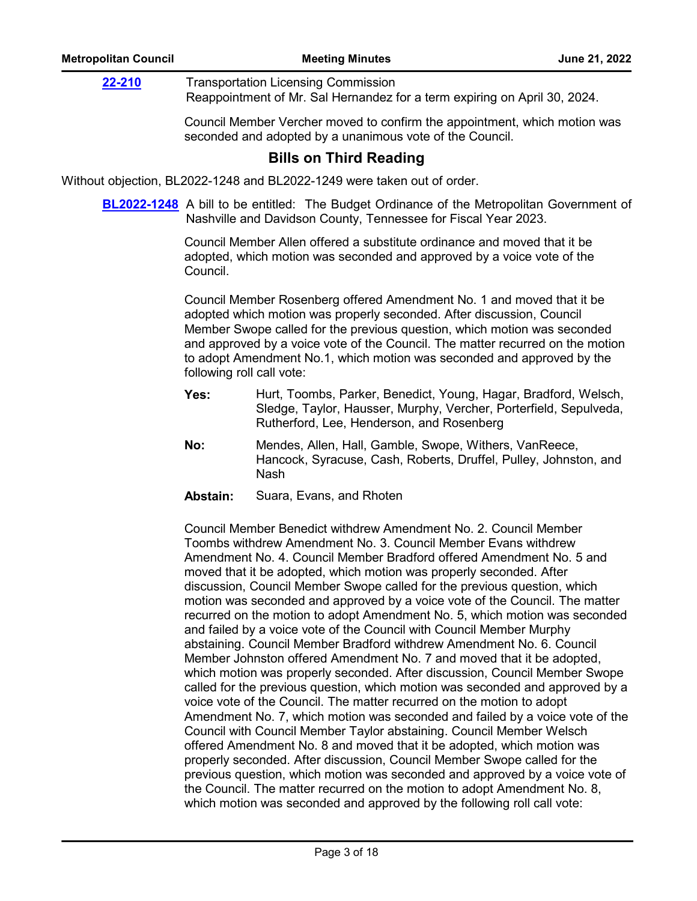Transportation Licensing Commission Reappointment of Mr. Sal Hernandez for a term expiring on April 30, 2024. **[22-210](http://nashville.legistar.com/gateway.aspx?m=l&id=/matter.aspx?key=14668)**

> Council Member Vercher moved to confirm the appointment, which motion was seconded and adopted by a unanimous vote of the Council.

# **Bills on Third Reading**

Without objection, BL2022-1248 and BL2022-1249 were taken out of order.

**[BL2022-1248](http://nashville.legistar.com/gateway.aspx?m=l&id=/matter.aspx?key=14439)** A bill to be entitled: The Budget Ordinance of the Metropolitan Government of Nashville and Davidson County, Tennessee for Fiscal Year 2023.

> Council Member Allen offered a substitute ordinance and moved that it be adopted, which motion was seconded and approved by a voice vote of the Council.

Council Member Rosenberg offered Amendment No. 1 and moved that it be adopted which motion was properly seconded. After discussion, Council Member Swope called for the previous question, which motion was seconded and approved by a voice vote of the Council. The matter recurred on the motion to adopt Amendment No.1, which motion was seconded and approved by the following roll call vote:

- Hurt, Toombs, Parker, Benedict, Young, Hagar, Bradford, Welsch, Sledge, Taylor, Hausser, Murphy, Vercher, Porterfield, Sepulveda, Rutherford, Lee, Henderson, and Rosenberg **Yes:**
- Mendes, Allen, Hall, Gamble, Swope, Withers, VanReece, Hancock, Syracuse, Cash, Roberts, Druffel, Pulley, Johnston, and Nash **No:**
- **Abstain:** Suara, Evans, and Rhoten

Council Member Benedict withdrew Amendment No. 2. Council Member Toombs withdrew Amendment No. 3. Council Member Evans withdrew Amendment No. 4. Council Member Bradford offered Amendment No. 5 and moved that it be adopted, which motion was properly seconded. After discussion, Council Member Swope called for the previous question, which motion was seconded and approved by a voice vote of the Council. The matter recurred on the motion to adopt Amendment No. 5, which motion was seconded and failed by a voice vote of the Council with Council Member Murphy abstaining. Council Member Bradford withdrew Amendment No. 6. Council Member Johnston offered Amendment No. 7 and moved that it be adopted, which motion was properly seconded. After discussion, Council Member Swope called for the previous question, which motion was seconded and approved by a voice vote of the Council. The matter recurred on the motion to adopt Amendment No. 7, which motion was seconded and failed by a voice vote of the Council with Council Member Taylor abstaining. Council Member Welsch offered Amendment No. 8 and moved that it be adopted, which motion was properly seconded. After discussion, Council Member Swope called for the previous question, which motion was seconded and approved by a voice vote of the Council. The matter recurred on the motion to adopt Amendment No. 8, which motion was seconded and approved by the following roll call vote: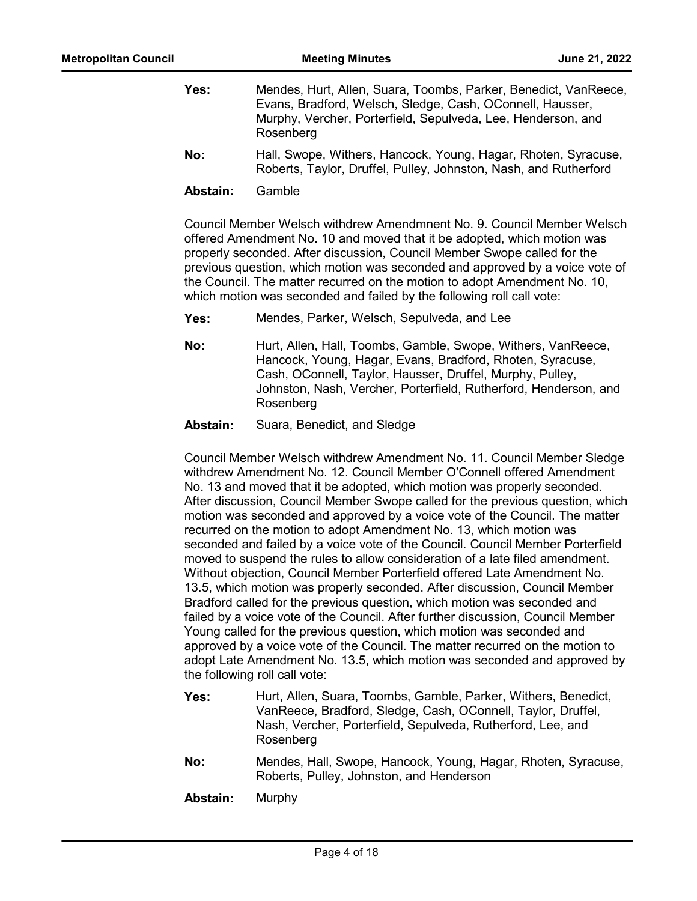| Yes: | Mendes, Hurt, Allen, Suara, Toombs, Parker, Benedict, VanReece,<br>Evans, Bradford, Welsch, Sledge, Cash, OConnell, Hausser,<br>Murphy, Vercher, Porterfield, Sepulveda, Lee, Henderson, and<br>Rosenberg |
|------|-----------------------------------------------------------------------------------------------------------------------------------------------------------------------------------------------------------|
| No:  | Hall, Swope, Withers, Hancock, Young, Hagar, Rhoten, Syracuse,<br>Roberts, Taylor, Druffel, Pulley, Johnston, Nash, and Rutherford                                                                        |

**Abstain:** Gamble

Council Member Welsch withdrew Amendmnent No. 9. Council Member Welsch offered Amendment No. 10 and moved that it be adopted, which motion was properly seconded. After discussion, Council Member Swope called for the previous question, which motion was seconded and approved by a voice vote of the Council. The matter recurred on the motion to adopt Amendment No. 10, which motion was seconded and failed by the following roll call vote:

**Yes:** Mendes, Parker, Welsch, Sepulveda, and Lee

- Hurt, Allen, Hall, Toombs, Gamble, Swope, Withers, VanReece, Hancock, Young, Hagar, Evans, Bradford, Rhoten, Syracuse, Cash, OConnell, Taylor, Hausser, Druffel, Murphy, Pulley, Johnston, Nash, Vercher, Porterfield, Rutherford, Henderson, and Rosenberg **No:**
- **Abstain:** Suara, Benedict, and Sledge

Council Member Welsch withdrew Amendment No. 11. Council Member Sledge withdrew Amendment No. 12. Council Member O'Connell offered Amendment No. 13 and moved that it be adopted, which motion was properly seconded. After discussion, Council Member Swope called for the previous question, which motion was seconded and approved by a voice vote of the Council. The matter recurred on the motion to adopt Amendment No. 13, which motion was seconded and failed by a voice vote of the Council. Council Member Porterfield moved to suspend the rules to allow consideration of a late filed amendment. Without objection, Council Member Porterfield offered Late Amendment No. 13.5, which motion was properly seconded. After discussion, Council Member Bradford called for the previous question, which motion was seconded and failed by a voice vote of the Council. After further discussion, Council Member Young called for the previous question, which motion was seconded and approved by a voice vote of the Council. The matter recurred on the motion to adopt Late Amendment No. 13.5, which motion was seconded and approved by the following roll call vote:

- Hurt, Allen, Suara, Toombs, Gamble, Parker, Withers, Benedict, VanReece, Bradford, Sledge, Cash, OConnell, Taylor, Druffel, Nash, Vercher, Porterfield, Sepulveda, Rutherford, Lee, and Rosenberg **Yes:**
- Mendes, Hall, Swope, Hancock, Young, Hagar, Rhoten, Syracuse, Roberts, Pulley, Johnston, and Henderson **No:**
- **Abstain:** Murphy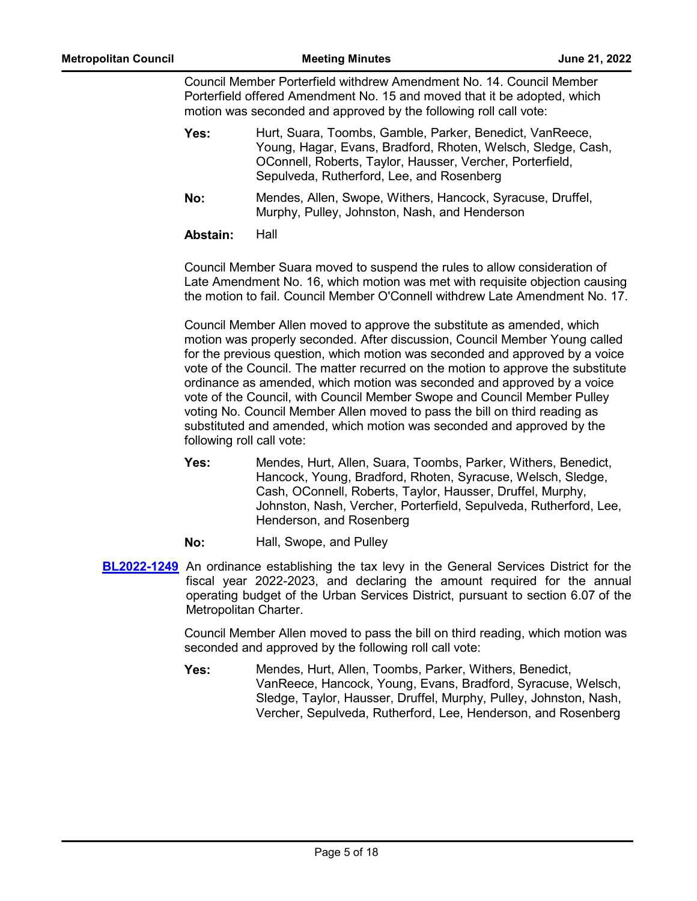Council Member Porterfield withdrew Amendment No. 14. Council Member Porterfield offered Amendment No. 15 and moved that it be adopted, which motion was seconded and approved by the following roll call vote:

| Yes:       | Hurt, Suara, Toombs, Gamble, Parker, Benedict, VanReece,<br>Young, Hagar, Evans, Bradford, Rhoten, Welsch, Sledge, Cash,<br>OConnell, Roberts, Taylor, Hausser, Vercher, Porterfield,<br>Sepulveda, Rutherford, Lee, and Rosenberg |
|------------|------------------------------------------------------------------------------------------------------------------------------------------------------------------------------------------------------------------------------------|
| <b>Mai</b> | Mandos Allan Curano Withora Hangook Curaques Druffol                                                                                                                                                                               |

Mendes, Allen, Swope, Withers, Hancock, Syracuse, Druffel, Murphy, Pulley, Johnston, Nash, and Henderson **No:**

**Abstain:** Hall

Council Member Suara moved to suspend the rules to allow consideration of Late Amendment No. 16, which motion was met with requisite objection causing the motion to fail. Council Member O'Connell withdrew Late Amendment No. 17.

Council Member Allen moved to approve the substitute as amended, which motion was properly seconded. After discussion, Council Member Young called for the previous question, which motion was seconded and approved by a voice vote of the Council. The matter recurred on the motion to approve the substitute ordinance as amended, which motion was seconded and approved by a voice vote of the Council, with Council Member Swope and Council Member Pulley voting No. Council Member Allen moved to pass the bill on third reading as substituted and amended, which motion was seconded and approved by the following roll call vote:

- Mendes, Hurt, Allen, Suara, Toombs, Parker, Withers, Benedict, Hancock, Young, Bradford, Rhoten, Syracuse, Welsch, Sledge, Cash, OConnell, Roberts, Taylor, Hausser, Druffel, Murphy, Johnston, Nash, Vercher, Porterfield, Sepulveda, Rutherford, Lee, Henderson, and Rosenberg **Yes:**
- **No:** Hall, Swope, and Pulley
- **[BL2022-1249](http://nashville.legistar.com/gateway.aspx?m=l&id=/matter.aspx?key=14438)** An ordinance establishing the tax levy in the General Services District for the fiscal year 2022-2023, and declaring the amount required for the annual operating budget of the Urban Services District, pursuant to section 6.07 of the Metropolitan Charter.

Council Member Allen moved to pass the bill on third reading, which motion was seconded and approved by the following roll call vote:

Mendes, Hurt, Allen, Toombs, Parker, Withers, Benedict, VanReece, Hancock, Young, Evans, Bradford, Syracuse, Welsch, Sledge, Taylor, Hausser, Druffel, Murphy, Pulley, Johnston, Nash, Vercher, Sepulveda, Rutherford, Lee, Henderson, and Rosenberg **Yes:**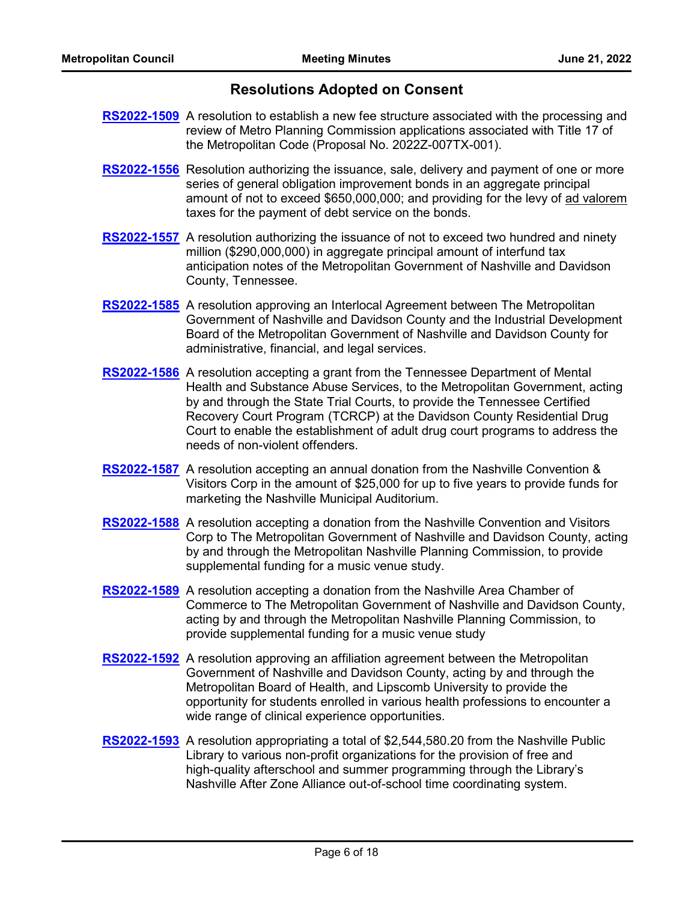# **Resolutions Adopted on Consent**

- **[RS2022-1509](http://nashville.legistar.com/gateway.aspx?m=l&id=/matter.aspx?key=14422)** A resolution to establish a new fee structure associated with the processing and review of Metro Planning Commission applications associated with Title 17 of the Metropolitan Code (Proposal No. 2022Z-007TX-001).
- [RS2022-1556](http://nashville.legistar.com/gateway.aspx?m=l&id=/matter.aspx?key=14606) Resolution authorizing the issuance, sale, delivery and payment of one or more series of general obligation improvement bonds in an aggregate principal amount of not to exceed \$650,000,000; and providing for the levy of ad valorem taxes for the payment of debt service on the bonds.
- **[RS2022-1557](http://nashville.legistar.com/gateway.aspx?m=l&id=/matter.aspx?key=14599)** A resolution authorizing the issuance of not to exceed two hundred and ninety million (\$290,000,000) in aggregate principal amount of interfund tax anticipation notes of the Metropolitan Government of Nashville and Davidson County, Tennessee.
- [RS2022-1585](http://nashville.legistar.com/gateway.aspx?m=l&id=/matter.aspx?key=14647) A resolution approving an Interlocal Agreement between The Metropolitan Government of Nashville and Davidson County and the Industrial Development Board of the Metropolitan Government of Nashville and Davidson County for administrative, financial, and legal services.
- [RS2022-1586](http://nashville.legistar.com/gateway.aspx?m=l&id=/matter.aspx?key=14630) A resolution accepting a grant from the Tennessee Department of Mental Health and Substance Abuse Services, to the Metropolitan Government, acting by and through the State Trial Courts, to provide the Tennessee Certified Recovery Court Program (TCRCP) at the Davidson County Residential Drug Court to enable the establishment of adult drug court programs to address the needs of non-violent offenders.
- [RS2022-1587](http://nashville.legistar.com/gateway.aspx?m=l&id=/matter.aspx?key=14637) A resolution accepting an annual donation from the Nashville Convention & Visitors Corp in the amount of \$25,000 for up to five years to provide funds for marketing the Nashville Municipal Auditorium.
- [RS2022-1588](http://nashville.legistar.com/gateway.aspx?m=l&id=/matter.aspx?key=14643) A resolution accepting a donation from the Nashville Convention and Visitors Corp to The Metropolitan Government of Nashville and Davidson County, acting by and through the Metropolitan Nashville Planning Commission, to provide supplemental funding for a music venue study.
- [RS2022-1589](http://nashville.legistar.com/gateway.aspx?m=l&id=/matter.aspx?key=14644) A resolution accepting a donation from the Nashville Area Chamber of Commerce to The Metropolitan Government of Nashville and Davidson County, acting by and through the Metropolitan Nashville Planning Commission, to provide supplemental funding for a music venue study
- [RS2022-1592](http://nashville.legistar.com/gateway.aspx?m=l&id=/matter.aspx?key=14631) A resolution approving an affiliation agreement between the Metropolitan Government of Nashville and Davidson County, acting by and through the Metropolitan Board of Health, and Lipscomb University to provide the opportunity for students enrolled in various health professions to encounter a wide range of clinical experience opportunities.
- [RS2022-1593](http://nashville.legistar.com/gateway.aspx?m=l&id=/matter.aspx?key=14645) A resolution appropriating a total of \$2,544,580.20 from the Nashville Public Library to various non-profit organizations for the provision of free and high-quality afterschool and summer programming through the Library's Nashville After Zone Alliance out-of-school time coordinating system.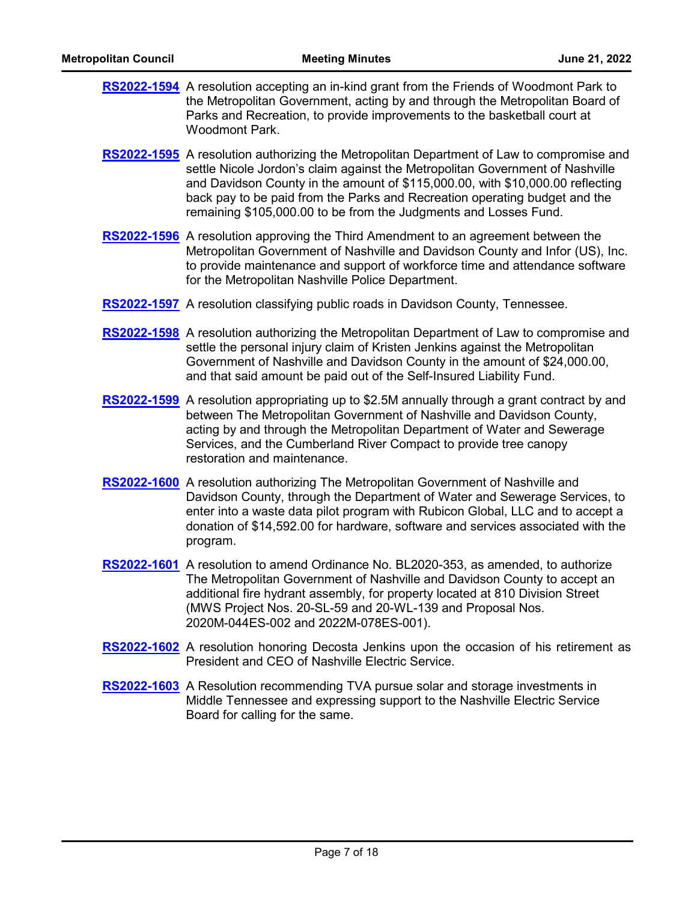| <b>RS2022-1594</b> A resolution accepting an in-kind grant from the Friends of Woodmont Park to |
|-------------------------------------------------------------------------------------------------|
| the Metropolitan Government, acting by and through the Metropolitan Board of                    |
| Parks and Recreation, to provide improvements to the basketball court at                        |
| Woodmont Park.                                                                                  |

- [RS2022-1595](http://nashville.legistar.com/gateway.aspx?m=l&id=/matter.aspx?key=14641) A resolution authorizing the Metropolitan Department of Law to compromise and settle Nicole Jordon's claim against the Metropolitan Government of Nashville and Davidson County in the amount of \$115,000.00, with \$10,000.00 reflecting back pay to be paid from the Parks and Recreation operating budget and the remaining \$105,000.00 to be from the Judgments and Losses Fund.
- [RS2022-1596](http://nashville.legistar.com/gateway.aspx?m=l&id=/matter.aspx?key=14626) A resolution approving the Third Amendment to an agreement between the Metropolitan Government of Nashville and Davidson County and Infor (US), Inc. to provide maintenance and support of workforce time and attendance software for the Metropolitan Nashville Police Department.
- **[RS2022-1597](http://nashville.legistar.com/gateway.aspx?m=l&id=/matter.aspx?key=14651)** A resolution classifying public roads in Davidson County, Tennessee.
- [RS2022-1598](http://nashville.legistar.com/gateway.aspx?m=l&id=/matter.aspx?key=14640) A resolution authorizing the Metropolitan Department of Law to compromise and settle the personal injury claim of Kristen Jenkins against the Metropolitan Government of Nashville and Davidson County in the amount of \$24,000.00, and that said amount be paid out of the Self-Insured Liability Fund.
- [RS2022-1599](http://nashville.legistar.com/gateway.aspx?m=l&id=/matter.aspx?key=14625) A resolution appropriating up to \$2.5M annually through a grant contract by and between The Metropolitan Government of Nashville and Davidson County, acting by and through the Metropolitan Department of Water and Sewerage Services, and the Cumberland River Compact to provide tree canopy restoration and maintenance.
- [RS2022-1600](http://nashville.legistar.com/gateway.aspx?m=l&id=/matter.aspx?key=14635) A resolution authorizing The Metropolitan Government of Nashville and Davidson County, through the Department of Water and Sewerage Services, to enter into a waste data pilot program with Rubicon Global, LLC and to accept a donation of \$14,592.00 for hardware, software and services associated with the program.
- [RS2022-1601](http://nashville.legistar.com/gateway.aspx?m=l&id=/matter.aspx?key=14634) A resolution to amend Ordinance No. BL2020-353, as amended, to authorize The Metropolitan Government of Nashville and Davidson County to accept an additional fire hydrant assembly, for property located at 810 Division Street (MWS Project Nos. 20-SL-59 and 20-WL-139 and Proposal Nos. 2020M-044ES-002 and 2022M-078ES-001).
- [RS2022-1602](http://nashville.legistar.com/gateway.aspx?m=l&id=/matter.aspx?key=14658) A resolution honoring Decosta Jenkins upon the occasion of his retirement as President and CEO of Nashville Electric Service.
- [RS2022-1603](http://nashville.legistar.com/gateway.aspx?m=l&id=/matter.aspx?key=14657) A Resolution recommending TVA pursue solar and storage investments in Middle Tennessee and expressing support to the Nashville Electric Service Board for calling for the same.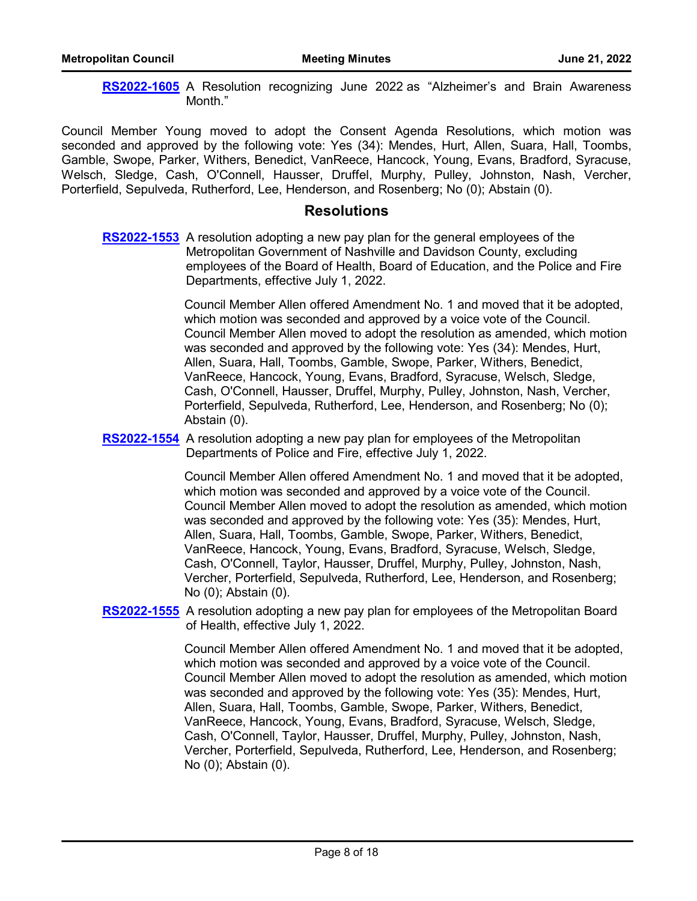[RS2022-1605](http://nashville.legistar.com/gateway.aspx?m=l&id=/matter.aspx?key=14660) A Resolution recognizing June 2022 as "Alzheimer's and Brain Awareness Month."

Council Member Young moved to adopt the Consent Agenda Resolutions, which motion was seconded and approved by the following vote: Yes (34): Mendes, Hurt, Allen, Suara, Hall, Toombs, Gamble, Swope, Parker, Withers, Benedict, VanReece, Hancock, Young, Evans, Bradford, Syracuse, Welsch, Sledge, Cash, O'Connell, Hausser, Druffel, Murphy, Pulley, Johnston, Nash, Vercher, Porterfield, Sepulveda, Rutherford, Lee, Henderson, and Rosenberg; No (0); Abstain (0).

### **Resolutions**

**[RS2022-1553](http://nashville.legistar.com/gateway.aspx?m=l&id=/matter.aspx?key=14587)** A resolution adopting a new pay plan for the general employees of the Metropolitan Government of Nashville and Davidson County, excluding employees of the Board of Health, Board of Education, and the Police and Fire Departments, effective July 1, 2022.

> Council Member Allen offered Amendment No. 1 and moved that it be adopted, which motion was seconded and approved by a voice vote of the Council. Council Member Allen moved to adopt the resolution as amended, which motion was seconded and approved by the following vote: Yes (34): Mendes, Hurt, Allen, Suara, Hall, Toombs, Gamble, Swope, Parker, Withers, Benedict, VanReece, Hancock, Young, Evans, Bradford, Syracuse, Welsch, Sledge, Cash, O'Connell, Hausser, Druffel, Murphy, Pulley, Johnston, Nash, Vercher, Porterfield, Sepulveda, Rutherford, Lee, Henderson, and Rosenberg; No (0); Abstain (0).

#### [RS2022-1554](http://nashville.legistar.com/gateway.aspx?m=l&id=/matter.aspx?key=14588) A resolution adopting a new pay plan for employees of the Metropolitan Departments of Police and Fire, effective July 1, 2022.

Council Member Allen offered Amendment No. 1 and moved that it be adopted, which motion was seconded and approved by a voice vote of the Council. Council Member Allen moved to adopt the resolution as amended, which motion was seconded and approved by the following vote: Yes (35): Mendes, Hurt, Allen, Suara, Hall, Toombs, Gamble, Swope, Parker, Withers, Benedict, VanReece, Hancock, Young, Evans, Bradford, Syracuse, Welsch, Sledge, Cash, O'Connell, Taylor, Hausser, Druffel, Murphy, Pulley, Johnston, Nash, Vercher, Porterfield, Sepulveda, Rutherford, Lee, Henderson, and Rosenberg; No (0); Abstain (0).

### [RS2022-1555](http://nashville.legistar.com/gateway.aspx?m=l&id=/matter.aspx?key=14589) A resolution adopting a new pay plan for employees of the Metropolitan Board of Health, effective July 1, 2022.

Council Member Allen offered Amendment No. 1 and moved that it be adopted, which motion was seconded and approved by a voice vote of the Council. Council Member Allen moved to adopt the resolution as amended, which motion was seconded and approved by the following vote: Yes (35): Mendes, Hurt, Allen, Suara, Hall, Toombs, Gamble, Swope, Parker, Withers, Benedict, VanReece, Hancock, Young, Evans, Bradford, Syracuse, Welsch, Sledge, Cash, O'Connell, Taylor, Hausser, Druffel, Murphy, Pulley, Johnston, Nash, Vercher, Porterfield, Sepulveda, Rutherford, Lee, Henderson, and Rosenberg; No (0); Abstain (0).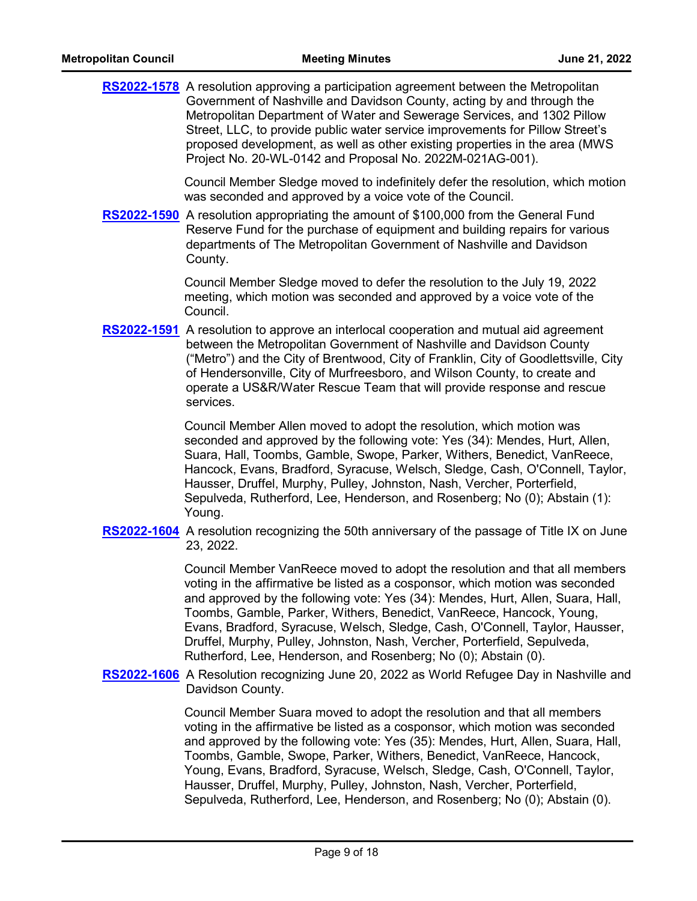[RS2022-1578](http://nashville.legistar.com/gateway.aspx?m=l&id=/matter.aspx?key=14598) A resolution approving a participation agreement between the Metropolitan Government of Nashville and Davidson County, acting by and through the Metropolitan Department of Water and Sewerage Services, and 1302 Pillow Street, LLC, to provide public water service improvements for Pillow Street's proposed development, as well as other existing properties in the area (MWS Project No. 20-WL-0142 and Proposal No. 2022M-021AG-001).

> Council Member Sledge moved to indefinitely defer the resolution, which motion was seconded and approved by a voice vote of the Council.

[RS2022-1590](http://nashville.legistar.com/gateway.aspx?m=l&id=/matter.aspx?key=14659) A resolution appropriating the amount of \$100,000 from the General Fund Reserve Fund for the purchase of equipment and building repairs for various departments of The Metropolitan Government of Nashville and Davidson County.

> Council Member Sledge moved to defer the resolution to the July 19, 2022 meeting, which motion was seconded and approved by a voice vote of the Council.

[RS2022-1591](http://nashville.legistar.com/gateway.aspx?m=l&id=/matter.aspx?key=14629) A resolution to approve an interlocal cooperation and mutual aid agreement between the Metropolitan Government of Nashville and Davidson County ("Metro") and the City of Brentwood, City of Franklin, City of Goodlettsville, City of Hendersonville, City of Murfreesboro, and Wilson County, to create and operate a US&R/Water Rescue Team that will provide response and rescue services.

> Council Member Allen moved to adopt the resolution, which motion was seconded and approved by the following vote: Yes (34): Mendes, Hurt, Allen, Suara, Hall, Toombs, Gamble, Swope, Parker, Withers, Benedict, VanReece, Hancock, Evans, Bradford, Syracuse, Welsch, Sledge, Cash, O'Connell, Taylor, Hausser, Druffel, Murphy, Pulley, Johnston, Nash, Vercher, Porterfield, Sepulveda, Rutherford, Lee, Henderson, and Rosenberg; No (0); Abstain (1): Young.

[RS2022-1604](http://nashville.legistar.com/gateway.aspx?m=l&id=/matter.aspx?key=14655) A resolution recognizing the 50th anniversary of the passage of Title IX on June 23, 2022.

> Council Member VanReece moved to adopt the resolution and that all members voting in the affirmative be listed as a cosponsor, which motion was seconded and approved by the following vote: Yes (34): Mendes, Hurt, Allen, Suara, Hall, Toombs, Gamble, Parker, Withers, Benedict, VanReece, Hancock, Young, Evans, Bradford, Syracuse, Welsch, Sledge, Cash, O'Connell, Taylor, Hausser, Druffel, Murphy, Pulley, Johnston, Nash, Vercher, Porterfield, Sepulveda, Rutherford, Lee, Henderson, and Rosenberg; No (0); Abstain (0).

[RS2022-1606](http://nashville.legistar.com/gateway.aspx?m=l&id=/matter.aspx?key=14656) A Resolution recognizing June 20, 2022 as World Refugee Day in Nashville and Davidson County.

> Council Member Suara moved to adopt the resolution and that all members voting in the affirmative be listed as a cosponsor, which motion was seconded and approved by the following vote: Yes (35): Mendes, Hurt, Allen, Suara, Hall, Toombs, Gamble, Swope, Parker, Withers, Benedict, VanReece, Hancock, Young, Evans, Bradford, Syracuse, Welsch, Sledge, Cash, O'Connell, Taylor, Hausser, Druffel, Murphy, Pulley, Johnston, Nash, Vercher, Porterfield, Sepulveda, Rutherford, Lee, Henderson, and Rosenberg; No (0); Abstain (0).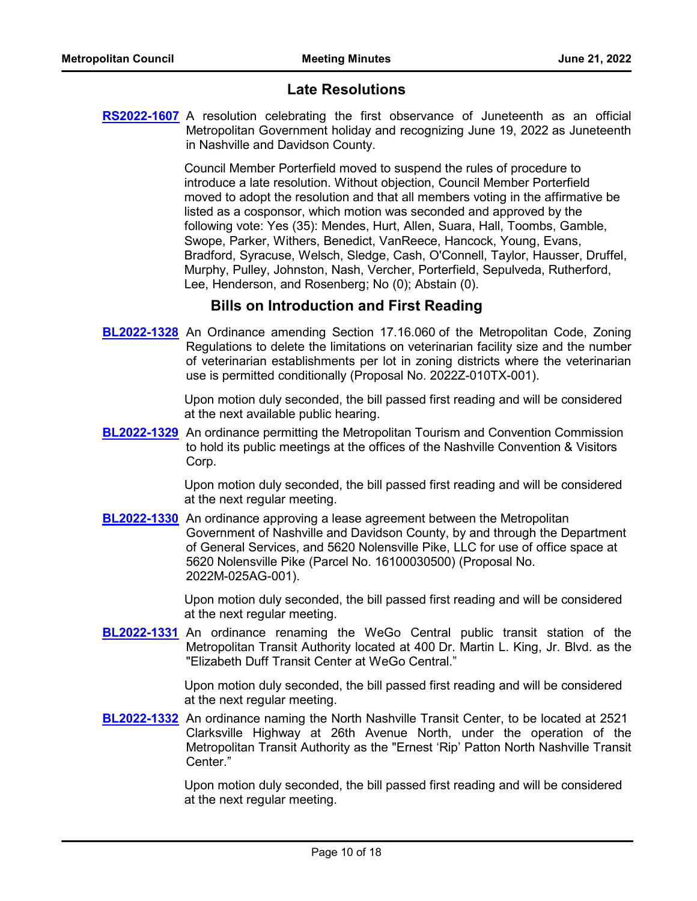# **Late Resolutions**

**[RS2022-1607](http://nashville.legistar.com/gateway.aspx?m=l&id=/matter.aspx?key=14669)** A resolution celebrating the first observance of Juneteenth as an official Metropolitan Government holiday and recognizing June 19, 2022 as Juneteenth in Nashville and Davidson County.

> Council Member Porterfield moved to suspend the rules of procedure to introduce a late resolution. Without objection, Council Member Porterfield moved to adopt the resolution and that all members voting in the affirmative be listed as a cosponsor, which motion was seconded and approved by the following vote: Yes (35): Mendes, Hurt, Allen, Suara, Hall, Toombs, Gamble, Swope, Parker, Withers, Benedict, VanReece, Hancock, Young, Evans, Bradford, Syracuse, Welsch, Sledge, Cash, O'Connell, Taylor, Hausser, Druffel, Murphy, Pulley, Johnston, Nash, Vercher, Porterfield, Sepulveda, Rutherford, Lee, Henderson, and Rosenberg; No (0); Abstain (0).

# **Bills on Introduction and First Reading**

**[BL2022-1328](http://nashville.legistar.com/gateway.aspx?m=l&id=/matter.aspx?key=14654)** An Ordinance amending Section 17.16.060 of the Metropolitan Code, Zoning Regulations to delete the limitations on veterinarian facility size and the number of veterinarian establishments per lot in zoning districts where the veterinarian use is permitted conditionally (Proposal No. 2022Z-010TX-001).

> Upon motion duly seconded, the bill passed first reading and will be considered at the next available public hearing.

**[BL2022-1329](http://nashville.legistar.com/gateway.aspx?m=l&id=/matter.aspx?key=14642)** An ordinance permitting the Metropolitan Tourism and Convention Commission to hold its public meetings at the offices of the Nashville Convention & Visitors Corp.

> Upon motion duly seconded, the bill passed first reading and will be considered at the next regular meeting.

**[BL2022-1330](http://nashville.legistar.com/gateway.aspx?m=l&id=/matter.aspx?key=14639)** An ordinance approving a lease agreement between the Metropolitan Government of Nashville and Davidson County, by and through the Department of General Services, and 5620 Nolensville Pike, LLC for use of office space at 5620 Nolensville Pike (Parcel No. 16100030500) (Proposal No. 2022M-025AG-001).

> Upon motion duly seconded, the bill passed first reading and will be considered at the next regular meeting.

**[BL2022-1331](http://nashville.legistar.com/gateway.aspx?m=l&id=/matter.aspx?key=14652)** An ordinance renaming the WeGo Central public transit station of the Metropolitan Transit Authority located at 400 Dr. Martin L. King, Jr. Blvd. as the "Elizabeth Duff Transit Center at WeGo Central."

> Upon motion duly seconded, the bill passed first reading and will be considered at the next regular meeting.

**[BL2022-1332](http://nashville.legistar.com/gateway.aspx?m=l&id=/matter.aspx?key=14653)** An ordinance naming the North Nashville Transit Center, to be located at 2521 Clarksville Highway at 26th Avenue North, under the operation of the Metropolitan Transit Authority as the "Ernest 'Rip' Patton North Nashville Transit Center."

> Upon motion duly seconded, the bill passed first reading and will be considered at the next regular meeting.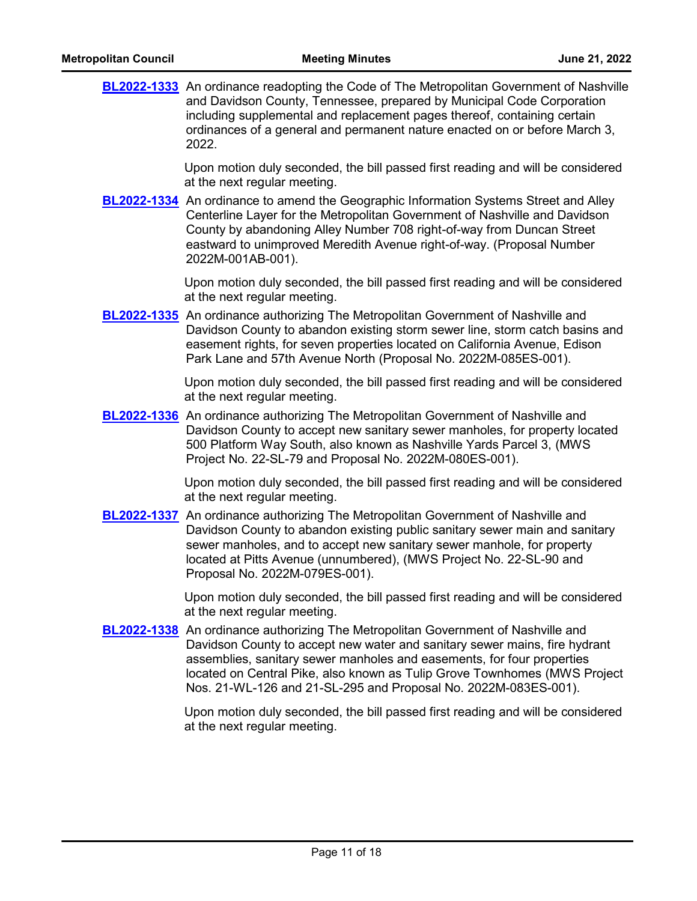| <b>Metropolitan Council</b> | <b>Meeting Minutes</b>                                                                                                                                                                                                                                                                                                                                                                           | June 21, 2022 |
|-----------------------------|--------------------------------------------------------------------------------------------------------------------------------------------------------------------------------------------------------------------------------------------------------------------------------------------------------------------------------------------------------------------------------------------------|---------------|
|                             | <b>BL2022-1333</b> An ordinance readopting the Code of The Metropolitan Government of Nashville<br>and Davidson County, Tennessee, prepared by Municipal Code Corporation<br>including supplemental and replacement pages thereof, containing certain<br>ordinances of a general and permanent nature enacted on or before March 3,<br>2022.                                                     |               |
|                             | Upon motion duly seconded, the bill passed first reading and will be considered<br>at the next regular meeting.                                                                                                                                                                                                                                                                                  |               |
|                             | <b>BL2022-1334</b> An ordinance to amend the Geographic Information Systems Street and Alley<br>Centerline Layer for the Metropolitan Government of Nashville and Davidson<br>County by abandoning Alley Number 708 right-of-way from Duncan Street<br>eastward to unimproved Meredith Avenue right-of-way. (Proposal Number<br>2022M-001AB-001).                                                |               |
|                             | Upon motion duly seconded, the bill passed first reading and will be considered<br>at the next regular meeting.                                                                                                                                                                                                                                                                                  |               |
|                             | <b>BL2022-1335</b> An ordinance authorizing The Metropolitan Government of Nashville and<br>Davidson County to abandon existing storm sewer line, storm catch basins and<br>easement rights, for seven properties located on California Avenue, Edison<br>Park Lane and 57th Avenue North (Proposal No. 2022M-085ES-001).                                                                        |               |
|                             | Upon motion duly seconded, the bill passed first reading and will be considered<br>at the next regular meeting.                                                                                                                                                                                                                                                                                  |               |
|                             | <b>BL2022-1336</b> An ordinance authorizing The Metropolitan Government of Nashville and<br>Davidson County to accept new sanitary sewer manholes, for property located<br>500 Platform Way South, also known as Nashville Yards Parcel 3, (MWS<br>Project No. 22-SL-79 and Proposal No. 2022M-080ES-001).                                                                                       |               |
|                             | Upon motion duly seconded, the bill passed first reading and will be considered<br>at the next regular meeting.                                                                                                                                                                                                                                                                                  |               |
|                             | <b>BL2022-1337</b> An ordinance authorizing The Metropolitan Government of Nashville and<br>Davidson County to abandon existing public sanitary sewer main and sanitary<br>sewer manholes, and to accept new sanitary sewer manhole, for property<br>located at Pitts Avenue (unnumbered), (MWS Project No. 22-SL-90 and<br>Proposal No. 2022M-079ES-001).                                       |               |
|                             | Upon motion duly seconded, the bill passed first reading and will be considered<br>at the next regular meeting.                                                                                                                                                                                                                                                                                  |               |
|                             | <b>BL2022-1338</b> An ordinance authorizing The Metropolitan Government of Nashville and<br>Davidson County to accept new water and sanitary sewer mains, fire hydrant<br>assemblies, sanitary sewer manholes and easements, for four properties<br>located on Central Pike, also known as Tulip Grove Townhomes (MWS Project<br>Nos. 21-WL-126 and 21-SL-295 and Proposal No. 2022M-083ES-001). |               |
|                             | Upon motion duly seconded, the bill passed first reading and will be considered<br>at the next regular meeting.                                                                                                                                                                                                                                                                                  |               |
|                             |                                                                                                                                                                                                                                                                                                                                                                                                  |               |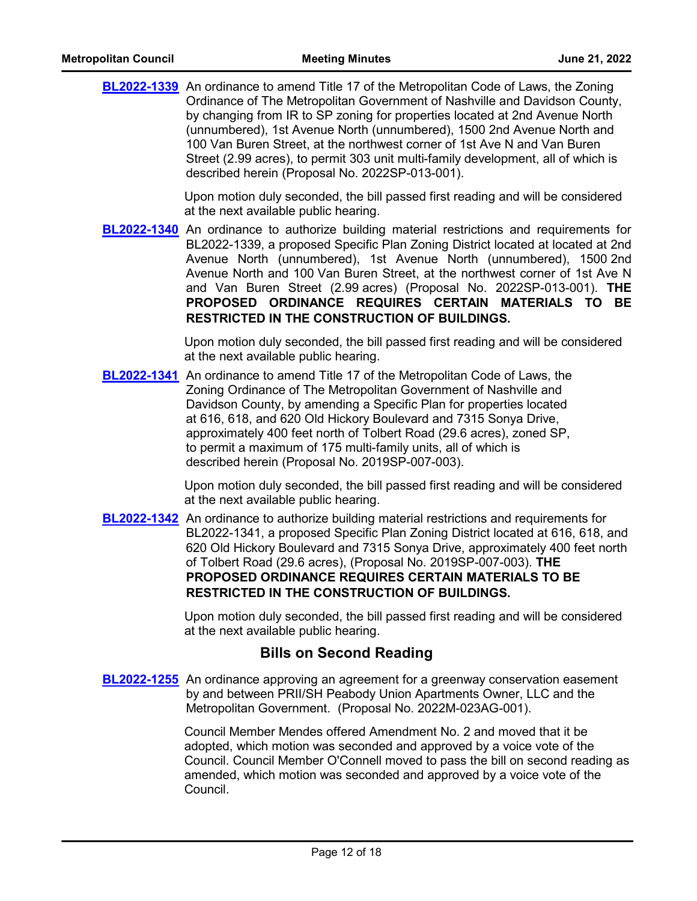| <b>BL2022-1339</b> An ordinance to amend Title 17 of the Metropolitan Code of Laws, the Zoning |
|------------------------------------------------------------------------------------------------|
| Ordinance of The Metropolitan Government of Nashville and Davidson County,                     |
| by changing from IR to SP zoning for properties located at 2nd Avenue North                    |
| (unnumbered), 1st Avenue North (unnumbered), 1500 2nd Avenue North and                         |
| 100 Van Buren Street, at the northwest corner of 1st Ave N and Van Buren                       |
| Street (2.99 acres), to permit 303 unit multi-family development, all of which is              |
| described herein (Proposal No. 2022SP-013-001).                                                |
|                                                                                                |

Upon motion duly seconded, the bill passed first reading and will be considered at the next available public hearing.

**[BL2022-1340](http://nashville.legistar.com/gateway.aspx?m=l&id=/matter.aspx?key=14650)** An ordinance to authorize building material restrictions and requirements for BL2022-1339, a proposed Specific Plan Zoning District located at located at 2nd Avenue North (unnumbered), 1st Avenue North (unnumbered), 1500 2nd Avenue North and 100 Van Buren Street, at the northwest corner of 1st Ave N and Van Buren Street (2.99 acres) (Proposal No. 2022SP-013-001). **THE PROPOSED ORDINANCE REQUIRES CERTAIN MATERIALS TO BE RESTRICTED IN THE CONSTRUCTION OF BUILDINGS.**

> Upon motion duly seconded, the bill passed first reading and will be considered at the next available public hearing.

**[BL2022-1341](http://nashville.legistar.com/gateway.aspx?m=l&id=/matter.aspx?key=14534)** An ordinance to amend Title 17 of the Metropolitan Code of Laws, the Zoning Ordinance of The Metropolitan Government of Nashville and Davidson County, by amending a Specific Plan for properties located at 616, 618, and 620 Old Hickory Boulevard and 7315 Sonya Drive, approximately 400 feet north of Tolbert Road (29.6 acres), zoned SP, to permit a maximum of 175 multi-family units, all of which is described herein (Proposal No. 2019SP-007-003).

> Upon motion duly seconded, the bill passed first reading and will be considered at the next available public hearing.

**[BL2022-1342](http://nashville.legistar.com/gateway.aspx?m=l&id=/matter.aspx?key=14535)** An ordinance to authorize building material restrictions and requirements for BL2022-1341, a proposed Specific Plan Zoning District located at 616, 618, and 620 Old Hickory Boulevard and 7315 Sonya Drive, approximately 400 feet north of Tolbert Road (29.6 acres), (Proposal No. 2019SP-007-003). **THE PROPOSED ORDINANCE REQUIRES CERTAIN MATERIALS TO BE RESTRICTED IN THE CONSTRUCTION OF BUILDINGS.**

> Upon motion duly seconded, the bill passed first reading and will be considered at the next available public hearing.

### **Bills on Second Reading**

**[BL2022-1255](http://nashville.legistar.com/gateway.aspx?m=l&id=/matter.aspx?key=14461)** An ordinance approving an agreement for a greenway conservation easement by and between PRII/SH Peabody Union Apartments Owner, LLC and the Metropolitan Government. (Proposal No. 2022M-023AG-001).

> Council Member Mendes offered Amendment No. 2 and moved that it be adopted, which motion was seconded and approved by a voice vote of the Council. Council Member O'Connell moved to pass the bill on second reading as amended, which motion was seconded and approved by a voice vote of the Council.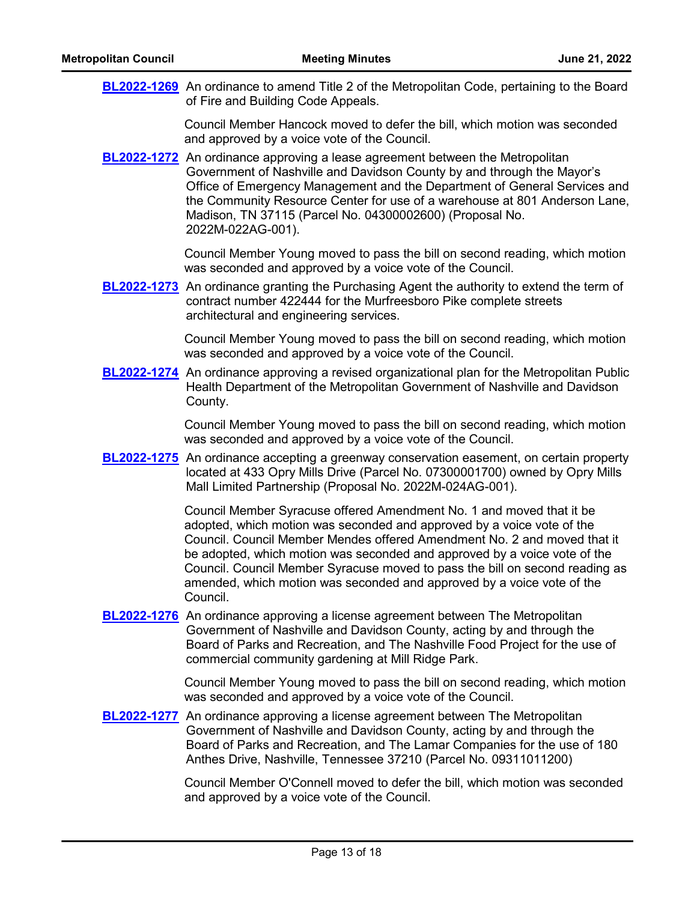| <b>BL2022-1269</b> An ordinance to amend Title 2 of the Metropolitan Code, pertaining to the Board |
|----------------------------------------------------------------------------------------------------|
| of Fire and Building Code Appeals.                                                                 |

Council Member Hancock moved to defer the bill, which motion was seconded and approved by a voice vote of the Council.

**[BL2022-1272](http://nashville.legistar.com/gateway.aspx?m=l&id=/matter.aspx?key=14521)** An ordinance approving a lease agreement between the Metropolitan Government of Nashville and Davidson County by and through the Mayor's Office of Emergency Management and the Department of General Services and the Community Resource Center for use of a warehouse at 801 Anderson Lane, Madison, TN 37115 (Parcel No. 04300002600) (Proposal No. 2022M-022AG-001).

> Council Member Young moved to pass the bill on second reading, which motion was seconded and approved by a voice vote of the Council.

**[BL2022-1273](http://nashville.legistar.com/gateway.aspx?m=l&id=/matter.aspx?key=14583)** An ordinance granting the Purchasing Agent the authority to extend the term of contract number 422444 for the Murfreesboro Pike complete streets architectural and engineering services.

> Council Member Young moved to pass the bill on second reading, which motion was seconded and approved by a voice vote of the Council.

**[BL2022-1274](http://nashville.legistar.com/gateway.aspx?m=l&id=/matter.aspx?key=14603)** An ordinance approving a revised organizational plan for the Metropolitan Public Health Department of the Metropolitan Government of Nashville and Davidson County.

> Council Member Young moved to pass the bill on second reading, which motion was seconded and approved by a voice vote of the Council.

**[BL2022-1275](http://nashville.legistar.com/gateway.aspx?m=l&id=/matter.aspx?key=14604)** An ordinance accepting a greenway conservation easement, on certain property located at 433 Opry Mills Drive (Parcel No. 07300001700) owned by Opry Mills Mall Limited Partnership (Proposal No. 2022M-024AG-001).

> Council Member Syracuse offered Amendment No. 1 and moved that it be adopted, which motion was seconded and approved by a voice vote of the Council. Council Member Mendes offered Amendment No. 2 and moved that it be adopted, which motion was seconded and approved by a voice vote of the Council. Council Member Syracuse moved to pass the bill on second reading as amended, which motion was seconded and approved by a voice vote of the Council.

**[BL2022-1276](http://nashville.legistar.com/gateway.aspx?m=l&id=/matter.aspx?key=14526)** An ordinance approving a license agreement between The Metropolitan Government of Nashville and Davidson County, acting by and through the Board of Parks and Recreation, and The Nashville Food Project for the use of commercial community gardening at Mill Ridge Park.

> Council Member Young moved to pass the bill on second reading, which motion was seconded and approved by a voice vote of the Council.

**[BL2022-1277](http://nashville.legistar.com/gateway.aspx?m=l&id=/matter.aspx?key=14527)** An ordinance approving a license agreement between The Metropolitan Government of Nashville and Davidson County, acting by and through the Board of Parks and Recreation, and The Lamar Companies for the use of 180 Anthes Drive, Nashville, Tennessee 37210 (Parcel No. 09311011200)

> Council Member O'Connell moved to defer the bill, which motion was seconded and approved by a voice vote of the Council.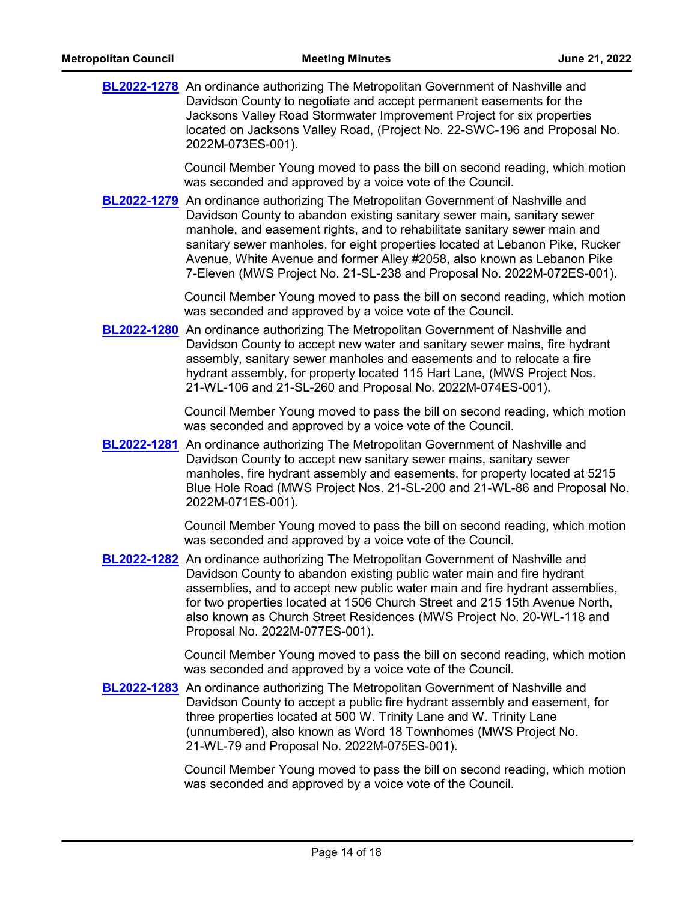| <b>Metropolitan Council</b> | <b>Meeting Minutes</b>                                                                                                                                                                                                                                                                                                                                                                                                                                                                                                                                                                                                                                 | June 21, 2022 |
|-----------------------------|--------------------------------------------------------------------------------------------------------------------------------------------------------------------------------------------------------------------------------------------------------------------------------------------------------------------------------------------------------------------------------------------------------------------------------------------------------------------------------------------------------------------------------------------------------------------------------------------------------------------------------------------------------|---------------|
|                             | <b>BL2022-1278</b> An ordinance authorizing The Metropolitan Government of Nashville and<br>Davidson County to negotiate and accept permanent easements for the<br>Jacksons Valley Road Stormwater Improvement Project for six properties<br>located on Jacksons Valley Road, (Project No. 22-SWC-196 and Proposal No.<br>2022M-073ES-001).                                                                                                                                                                                                                                                                                                            |               |
|                             | Council Member Young moved to pass the bill on second reading, which motion<br>was seconded and approved by a voice vote of the Council.<br><b>BL2022-1279</b> An ordinance authorizing The Metropolitan Government of Nashville and<br>Davidson County to abandon existing sanitary sewer main, sanitary sewer<br>manhole, and easement rights, and to rehabilitate sanitary sewer main and<br>sanitary sewer manholes, for eight properties located at Lebanon Pike, Rucker<br>Avenue, White Avenue and former Alley #2058, also known as Lebanon Pike<br>7-Eleven (MWS Project No. 21-SL-238 and Proposal No. 2022M-072ES-001).                     |               |
|                             | Council Member Young moved to pass the bill on second reading, which motion<br>was seconded and approved by a voice vote of the Council.<br><b>BL2022-1280</b> An ordinance authorizing The Metropolitan Government of Nashville and<br>Davidson County to accept new water and sanitary sewer mains, fire hydrant<br>assembly, sanitary sewer manholes and easements and to relocate a fire<br>hydrant assembly, for property located 115 Hart Lane, (MWS Project Nos.<br>21-WL-106 and 21-SL-260 and Proposal No. 2022M-074ES-001).                                                                                                                  |               |
|                             | Council Member Young moved to pass the bill on second reading, which motion<br>was seconded and approved by a voice vote of the Council.<br><b>BL2022-1281</b> An ordinance authorizing The Metropolitan Government of Nashville and<br>Davidson County to accept new sanitary sewer mains, sanitary sewer<br>manholes, fire hydrant assembly and easements, for property located at 5215<br>Blue Hole Road (MWS Project Nos. 21-SL-200 and 21-WL-86 and Proposal No.<br>2022M-071ES-001).                                                                                                                                                             |               |
|                             | Council Member Young moved to pass the bill on second reading, which motion<br>was seconded and approved by a voice vote of the Council.<br>BL2022-1282 An ordinance authorizing The Metropolitan Government of Nashville and<br>Davidson County to abandon existing public water main and fire hydrant<br>assemblies, and to accept new public water main and fire hydrant assemblies,<br>for two properties located at 1506 Church Street and 215 15th Avenue North,<br>also known as Church Street Residences (MWS Project No. 20-WL-118 and<br>Proposal No. 2022M-077ES-001).                                                                      |               |
|                             | Council Member Young moved to pass the bill on second reading, which motion<br>was seconded and approved by a voice vote of the Council.<br><b>BL2022-1283</b> An ordinance authorizing The Metropolitan Government of Nashville and<br>Davidson County to accept a public fire hydrant assembly and easement, for<br>three properties located at 500 W. Trinity Lane and W. Trinity Lane<br>(unnumbered), also known as Word 18 Townhomes (MWS Project No.<br>21-WL-79 and Proposal No. 2022M-075ES-001).<br>Council Member Young moved to pass the bill on second reading, which motion<br>was seconded and approved by a voice vote of the Council. |               |
|                             |                                                                                                                                                                                                                                                                                                                                                                                                                                                                                                                                                                                                                                                        |               |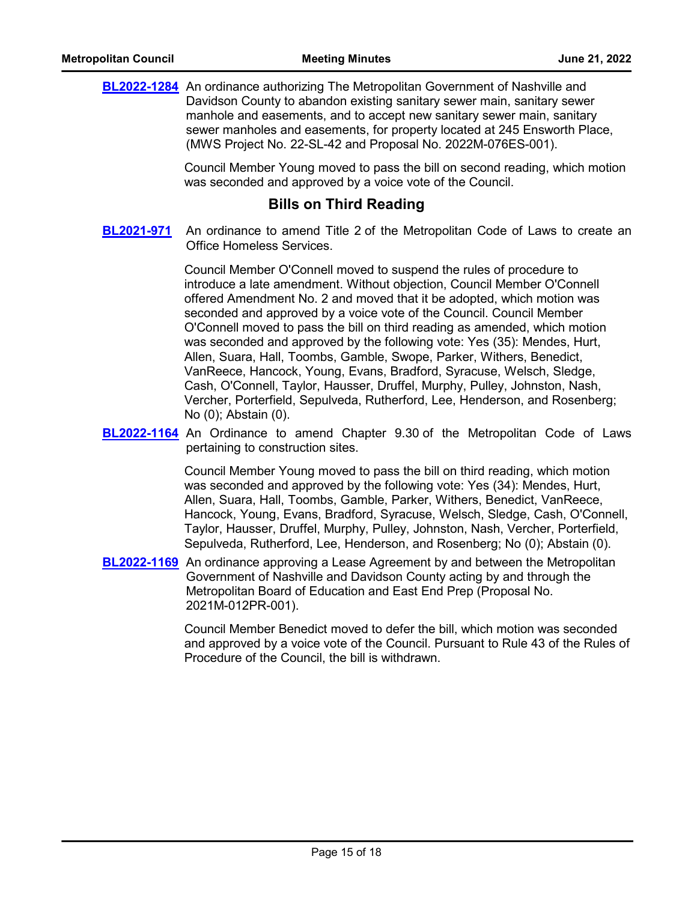**[BL2022-1284](http://nashville.legistar.com/gateway.aspx?m=l&id=/matter.aspx?key=14602)** An ordinance authorizing The Metropolitan Government of Nashville and Davidson County to abandon existing sanitary sewer main, sanitary sewer manhole and easements, and to accept new sanitary sewer main, sanitary sewer manholes and easements, for property located at 245 Ensworth Place, (MWS Project No. 22-SL-42 and Proposal No. 2022M-076ES-001).

> Council Member Young moved to pass the bill on second reading, which motion was seconded and approved by a voice vote of the Council.

### **Bills on Third Reading**

An ordinance to amend Title 2 of the Metropolitan Code of Laws to create an Office Homeless Services. **[BL2021-971](http://nashville.legistar.com/gateway.aspx?m=l&id=/matter.aspx?key=13734)**

> Council Member O'Connell moved to suspend the rules of procedure to introduce a late amendment. Without objection, Council Member O'Connell offered Amendment No. 2 and moved that it be adopted, which motion was seconded and approved by a voice vote of the Council. Council Member O'Connell moved to pass the bill on third reading as amended, which motion was seconded and approved by the following vote: Yes (35): Mendes, Hurt, Allen, Suara, Hall, Toombs, Gamble, Swope, Parker, Withers, Benedict, VanReece, Hancock, Young, Evans, Bradford, Syracuse, Welsch, Sledge, Cash, O'Connell, Taylor, Hausser, Druffel, Murphy, Pulley, Johnston, Nash, Vercher, Porterfield, Sepulveda, Rutherford, Lee, Henderson, and Rosenberg; No (0); Abstain (0).

**[BL2022-1164](http://nashville.legistar.com/gateway.aspx?m=l&id=/matter.aspx?key=14241)** An Ordinance to amend Chapter 9.30 of the Metropolitan Code of Laws pertaining to construction sites.

> Council Member Young moved to pass the bill on third reading, which motion was seconded and approved by the following vote: Yes (34): Mendes, Hurt, Allen, Suara, Hall, Toombs, Gamble, Parker, Withers, Benedict, VanReece, Hancock, Young, Evans, Bradford, Syracuse, Welsch, Sledge, Cash, O'Connell, Taylor, Hausser, Druffel, Murphy, Pulley, Johnston, Nash, Vercher, Porterfield, Sepulveda, Rutherford, Lee, Henderson, and Rosenberg; No (0); Abstain (0).

**[BL2022-1169](http://nashville.legistar.com/gateway.aspx?m=l&id=/matter.aspx?key=14261)** An ordinance approving a Lease Agreement by and between the Metropolitan Government of Nashville and Davidson County acting by and through the Metropolitan Board of Education and East End Prep (Proposal No. 2021M-012PR-001).

> Council Member Benedict moved to defer the bill, which motion was seconded and approved by a voice vote of the Council. Pursuant to Rule 43 of the Rules of Procedure of the Council, the bill is withdrawn.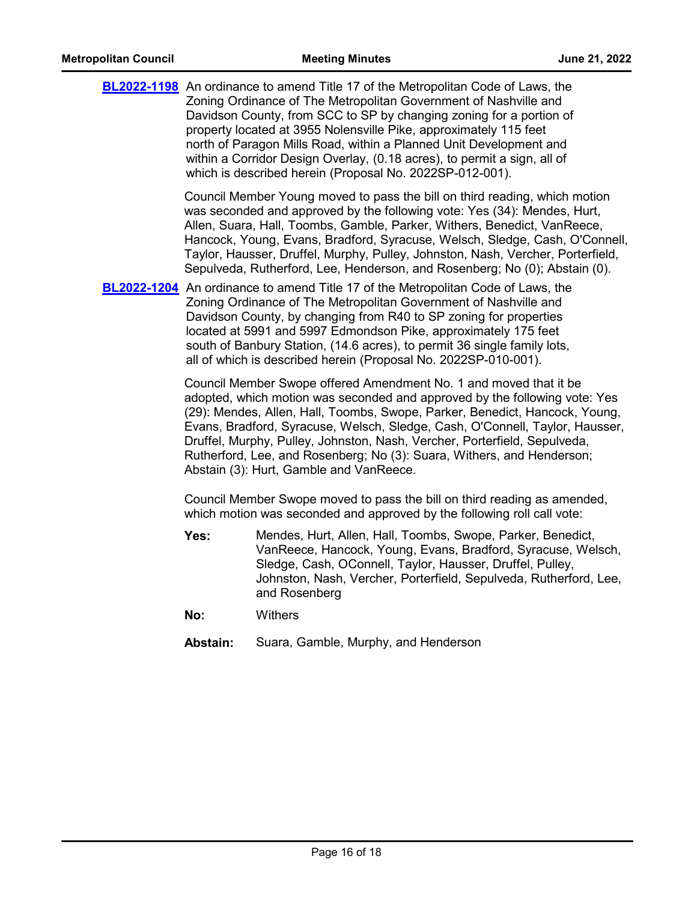|          | <b>BL2022-1198</b> An ordinance to amend Title 17 of the Metropolitan Code of Laws, the<br>Zoning Ordinance of The Metropolitan Government of Nashville and<br>Davidson County, from SCC to SP by changing zoning for a portion of<br>property located at 3955 Nolensville Pike, approximately 115 feet<br>north of Paragon Mills Road, within a Planned Unit Development and<br>within a Corridor Design Overlay, (0.18 acres), to permit a sign, all of<br>which is described herein (Proposal No. 2022SP-012-001). |
|----------|-----------------------------------------------------------------------------------------------------------------------------------------------------------------------------------------------------------------------------------------------------------------------------------------------------------------------------------------------------------------------------------------------------------------------------------------------------------------------------------------------------------------------|
|          | Council Member Young moved to pass the bill on third reading, which motion<br>was seconded and approved by the following vote: Yes (34): Mendes, Hurt,<br>Allen, Suara, Hall, Toombs, Gamble, Parker, Withers, Benedict, VanReece,<br>Hancock, Young, Evans, Bradford, Syracuse, Welsch, Sledge, Cash, O'Connell,<br>Taylor, Hausser, Druffel, Murphy, Pulley, Johnston, Nash, Vercher, Porterfield,<br>Sepulveda, Rutherford, Lee, Henderson, and Rosenberg; No (0); Abstain (0).                                    |
|          | <b>BL2022-1204</b> An ordinance to amend Title 17 of the Metropolitan Code of Laws, the<br>Zoning Ordinance of The Metropolitan Government of Nashville and<br>Davidson County, by changing from R40 to SP zoning for properties<br>located at 5991 and 5997 Edmondson Pike, approximately 175 feet<br>south of Banbury Station, (14.6 acres), to permit 36 single family lots,<br>all of which is described herein (Proposal No. 2022SP-010-001).                                                                    |
|          | Council Member Swope offered Amendment No. 1 and moved that it be<br>adopted, which motion was seconded and approved by the following vote: Yes<br>(29): Mendes, Allen, Hall, Toombs, Swope, Parker, Benedict, Hancock, Young,<br>Evans, Bradford, Syracuse, Welsch, Sledge, Cash, O'Connell, Taylor, Hausser,<br>Druffel, Murphy, Pulley, Johnston, Nash, Vercher, Porterfield, Sepulveda,<br>Rutherford, Lee, and Rosenberg; No (3): Suara, Withers, and Henderson;<br>Abstain (3): Hurt, Gamble and VanReece.      |
|          | Council Member Swope moved to pass the bill on third reading as amended,<br>which motion was seconded and approved by the following roll call vote:                                                                                                                                                                                                                                                                                                                                                                   |
| Yes:     | Mendes, Hurt, Allen, Hall, Toombs, Swope, Parker, Benedict,<br>VanReece, Hancock, Young, Evans, Bradford, Syracuse, Welsch,<br>Sledge, Cash, OConnell, Taylor, Hausser, Druffel, Pulley,<br>Johnston, Nash, Vercher, Porterfield, Sepulveda, Rutherford, Lee,<br>and Rosenberg                                                                                                                                                                                                                                        |
| No:      | <b>Withers</b>                                                                                                                                                                                                                                                                                                                                                                                                                                                                                                        |
| Abstain: | Suara, Gamble, Murphy, and Henderson                                                                                                                                                                                                                                                                                                                                                                                                                                                                                  |
|          |                                                                                                                                                                                                                                                                                                                                                                                                                                                                                                                       |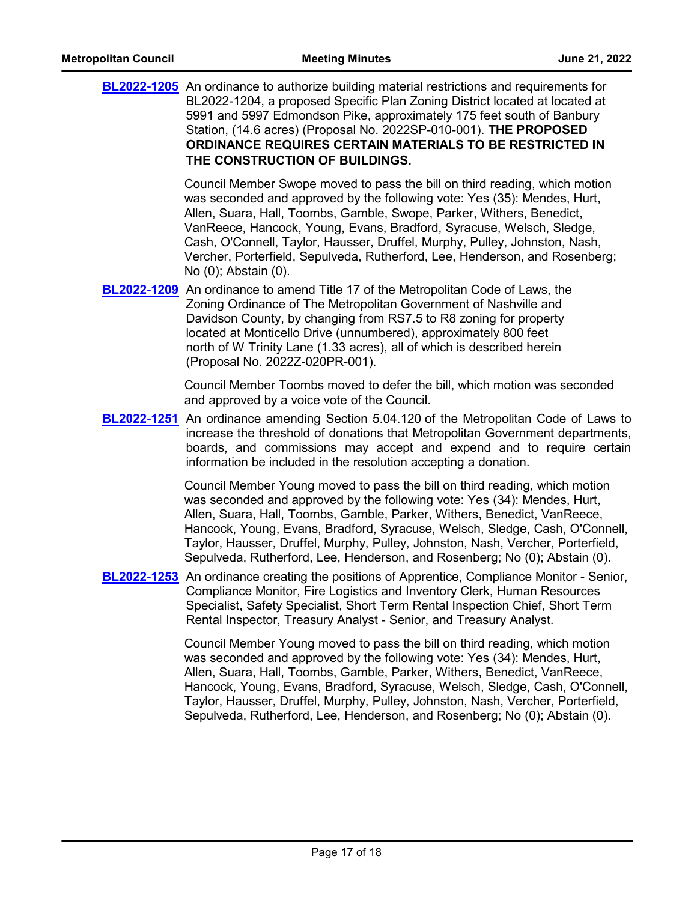|             | <b>BL2022-1205</b> An ordinance to authorize building material restrictions and requirements for<br>BL2022-1204, a proposed Specific Plan Zoning District located at located at<br>5991 and 5997 Edmondson Pike, approximately 175 feet south of Banbury<br>Station, (14.6 acres) (Proposal No. 2022SP-010-001). THE PROPOSED<br>ORDINANCE REQUIRES CERTAIN MATERIALS TO BE RESTRICTED IN<br>THE CONSTRUCTION OF BUILDINGS.                                                                  |
|-------------|----------------------------------------------------------------------------------------------------------------------------------------------------------------------------------------------------------------------------------------------------------------------------------------------------------------------------------------------------------------------------------------------------------------------------------------------------------------------------------------------|
|             | Council Member Swope moved to pass the bill on third reading, which motion<br>was seconded and approved by the following vote: Yes (35): Mendes, Hurt,<br>Allen, Suara, Hall, Toombs, Gamble, Swope, Parker, Withers, Benedict,<br>VanReece, Hancock, Young, Evans, Bradford, Syracuse, Welsch, Sledge,<br>Cash, O'Connell, Taylor, Hausser, Druffel, Murphy, Pulley, Johnston, Nash,<br>Vercher, Porterfield, Sepulveda, Rutherford, Lee, Henderson, and Rosenberg;<br>No (0); Abstain (0). |
| BL2022-1209 | An ordinance to amend Title 17 of the Metropolitan Code of Laws, the<br>Zoning Ordinance of The Metropolitan Government of Nashville and<br>Davidson County, by changing from RS7.5 to R8 zoning for property<br>located at Monticello Drive (unnumbered), approximately 800 feet<br>north of W Trinity Lane (1.33 acres), all of which is described herein<br>(Proposal No. 2022Z-020PR-001).                                                                                               |
|             | Council Member Toombs moved to defer the bill, which motion was seconded<br>and approved by a voice vote of the Council.                                                                                                                                                                                                                                                                                                                                                                     |
|             | <b>BL2022-1251</b> An ordinance amending Section 5.04.120 of the Metropolitan Code of Laws to<br>increase the threshold of donations that Metropolitan Government departments,<br>boards, and commissions may accept and expend and to require certain<br>information be included in the resolution accepting a donation.                                                                                                                                                                    |
|             | Council Member Young moved to pass the bill on third reading, which motion<br>was seconded and approved by the following vote: Yes (34): Mendes, Hurt,<br>Allen, Suara, Hall, Toombs, Gamble, Parker, Withers, Benedict, VanReece,<br>Hancock, Young, Evans, Bradford, Syracuse, Welsch, Sledge, Cash, O'Connell,<br>Taylor, Hausser, Druffel, Murphy, Pulley, Johnston, Nash, Vercher, Porterfield,<br>Sepulveda, Rutherford, Lee, Henderson, and Rosenberg; No (0); Abstain (0).           |
|             | <b>BL2022-1253</b> An ordinance creating the positions of Apprentice, Compliance Monitor - Senior,<br>Compliance Monitor, Fire Logistics and Inventory Clerk, Human Resources<br>Specialist, Safety Specialist, Short Term Rental Inspection Chief, Short Term<br>Rental Inspector, Treasury Analyst - Senior, and Treasury Analyst.                                                                                                                                                         |
|             | Council Member Young moved to pass the bill on third reading, which motion<br>was seconded and approved by the following vote: Yes (34): Mendes, Hurt,<br>Allen, Suara, Hall, Toombs, Gamble, Parker, Withers, Benedict, VanReece,<br>Hancock, Young, Evans, Bradford, Syracuse, Welsch, Sledge, Cash, O'Connell,<br>Taylor, Hausser, Druffel, Murphy, Pulley, Johnston, Nash, Vercher, Porterfield,<br>Sepulveda, Rutherford, Lee, Henderson, and Rosenberg; No (0); Abstain (0).           |